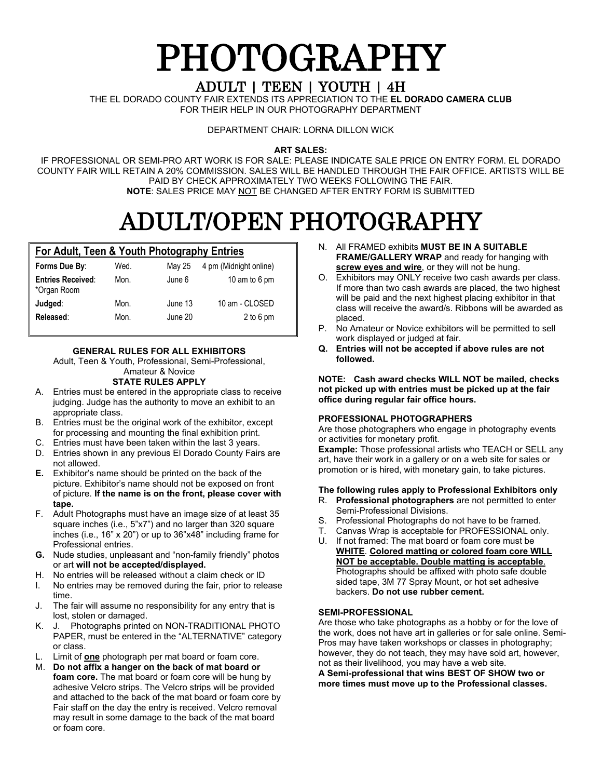# **PHOTOGRAPHY**

THE EL DORADO COUNTY FAIR EXTENDS ITS APPRECIATION TO THE **EL DORADO CAMERA CLUB** FOR THEIR HELP IN OUR PHOTOGRAPHY DEPARTMENT

DEPARTMENT CHAIR: LORNA DILLON WICK

**ART SALES:**

IF PROFESSIONAL OR SEMI-PRO ART WORK IS FOR SALE: PLEASE INDICATE SALE PRICE ON ENTRY FORM. EL DORADO COUNTY FAIR WILL RETAIN A 20% COMMISSION. SALES WILL BE HANDLED THROUGH THE FAIR OFFICE. ARTISTS WILL BE PAID BY CHECK APPROXIMATELY TWO WEEKS FOLLOWING THE FAIR. **NOTE**: SALES PRICE MAY NOT BE CHANGED AFTER ENTRY FORM IS SUBMITTED

# ADULT/OPEN PHOTOGRAPHY

#### **For Adult, Teen & Youth Photography Entries**

| Forms Due By:                           | Wed.         | May 25             | 4 pm (Midnight online)      |
|-----------------------------------------|--------------|--------------------|-----------------------------|
| <b>Entries Received:</b><br>*Organ Room | Mon.         | June 6             | 10 am to 6 pm               |
| Judged:<br>Released:                    | Mon.<br>Mon. | June 13<br>June 20 | 10 am - CLOSED<br>2 to 6 pm |

#### **GENERAL RULES FOR ALL EXHIBITORS**

Adult, Teen & Youth, Professional, Semi-Professional,

#### Amateur & Novice **STATE RULES APPLY**

- A. Entries must be entered in the appropriate class to receive judging. Judge has the authority to move an exhibit to an appropriate class.
- B. Entries must be the original work of the exhibitor, except for processing and mounting the final exhibition print.
- C. Entries must have been taken within the last 3 years.
- D. Entries shown in any previous El Dorado County Fairs are not allowed.
- **E.** Exhibitor's name should be printed on the back of the picture. Exhibitor's name should not be exposed on front of picture. **If the name is on the front, please cover with tape.**
- F. Adult Photographs must have an image size of at least 35 square inches (i.e., 5"x7") and no larger than 320 square inches (i.e., 16" x 20") or up to 36"x48" including frame for Professional entries.
- **G.** Nude studies, unpleasant and "non-family friendly" photos or art **will not be accepted/displayed.**
- H. No entries will be released without a claim check or ID
- I. No entries may be removed during the fair, prior to release time.
- J. The fair will assume no responsibility for any entry that is lost, stolen or damaged.
- K. J. Photographs printed on NON-TRADITIONAL PHOTO PAPER, must be entered in the "ALTERNATIVE" category or class.
- L. Limit of **one** photograph per mat board or foam core.
- M. **Do not affix a hanger on the back of mat board or foam core.** The mat board or foam core will be hung by adhesive Velcro strips. The Velcro strips will be provided and attached to the back of the mat board or foam core by Fair staff on the day the entry is received. Velcro removal may result in some damage to the back of the mat board or foam core.
- N. All FRAMED exhibits **MUST BE IN A SUITABLE FRAME/GALLERY WRAP** and ready for hanging with **screw eyes and wire**, or they will not be hung.
- O. Exhibitors may ONLY receive two cash awards per class. If more than two cash awards are placed, the two highest will be paid and the next highest placing exhibitor in that class will receive the award/s. Ribbons will be awarded as placed.
- P. No Amateur or Novice exhibitors will be permitted to sell work displayed or judged at fair.
- **Q. Entries will not be accepted if above rules are not followed.**

**NOTE: Cash award checks WILL NOT be mailed, checks not picked up with entries must be picked up at the fair office during regular fair office hours.**

#### **PROFESSIONAL PHOTOGRAPHERS**

Are those photographers who engage in photography events or activities for monetary profit.

**Example:** Those professional artists who TEACH or SELL any art, have their work in a gallery or on a web site for sales or promotion or is hired, with monetary gain, to take pictures.

#### **The following rules apply to Professional Exhibitors only** R. **Professional photographers** are not permitted to enter

- Semi-Professional Divisions.
- S. Professional Photographs do not have to be framed.
- T. Canvas Wrap is acceptable for PROFESSIONAL only.
- U. If not framed: The mat board or foam core must be **WHITE**. **Colored matting or colored foam core WILL NOT be acceptable. Double matting is acceptable**. Photographs should be affixed with photo safe double sided tape, 3M 77 Spray Mount, or hot set adhesive backers. **Do not use rubber cement.**

#### **SEMI-PROFESSIONAL**

Are those who take photographs as a hobby or for the love of the work, does not have art in galleries or for sale online. Semi-Pros may have taken workshops or classes in photography; however, they do not teach, they may have sold art, however, not as their livelihood, you may have a web site.

**A Semi-professional that wins BEST OF SHOW two or more times must move up to the Professional classes.**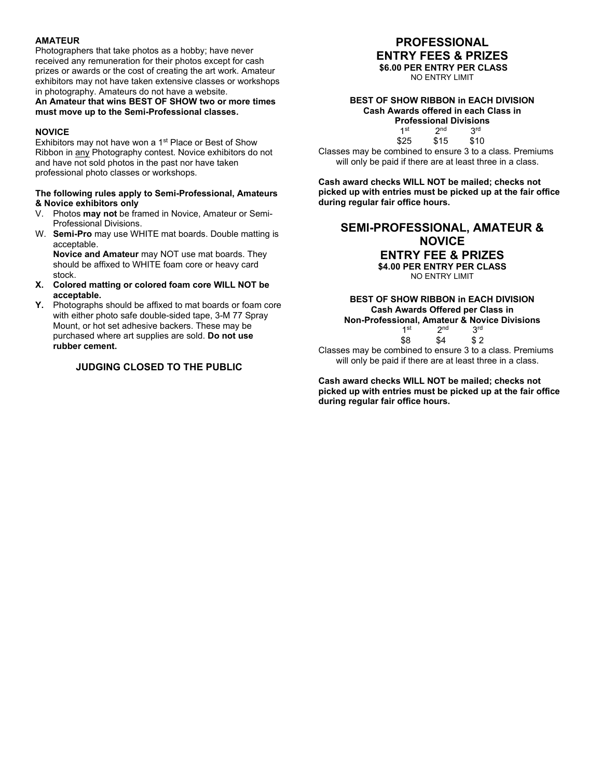#### **AMATEUR**

Photographers that take photos as a hobby; have never received any remuneration for their photos except for cash prizes or awards or the cost of creating the art work. Amateur exhibitors may not have taken extensive classes or workshops in photography. Amateurs do not have a website.

#### **An Amateur that wins BEST OF SHOW two or more times must move up to the Semi-Professional classes.**

#### **NOVICE**

Exhibitors may not have won a 1<sup>st</sup> Place or Best of Show Ribbon in any Photography contest. Novice exhibitors do not and have not sold photos in the past nor have taken professional photo classes or workshops.

#### **The following rules apply to Semi-Professional, Amateurs & Novice exhibitors only**

- V. Photos **may not** be framed in Novice, Amateur or Semi-Professional Divisions.
- W. **Semi-Pro** may use WHITE mat boards. Double matting is acceptable.

**Novice and Amateur** may NOT use mat boards. They should be affixed to WHITE foam core or heavy card stock.

- **X. Colored matting or colored foam core WILL NOT be acceptable.**
- **Y.** Photographs should be affixed to mat boards or foam core with either photo safe double-sided tape, 3-M 77 Spray Mount, or hot set adhesive backers. These may be purchased where art supplies are sold. **Do not use rubber cement.**

#### **JUDGING CLOSED TO THE PUBLIC**

#### **PROFESSIONAL ENTRY FEES & PRIZES**

**\$6.00 PER ENTRY PER CLASS**

NO ENTRY LIMIT

#### **BEST OF SHOW RIBBON in EACH DIVISION Cash Awards offered in each Class in**

**Professional Divisions**  $2<sup>nd</sup>$   $3<sup>rd</sup>$ <br> $$15$   $$10$ \$25

Classes may be combined to ensure 3 to a class. Premiums will only be paid if there are at least three in a class.

**Cash award checks WILL NOT be mailed; checks not picked up with entries must be picked up at the fair office during regular fair office hours.**

#### **SEMI-PROFESSIONAL, AMATEUR & NOVICE ENTRY FEE & PRIZES \$4.00 PER ENTRY PER CLASS**

NO ENTRY LIMIT

#### **BEST OF SHOW RIBBON in EACH DIVISION Cash Awards Offered per Class in Non-Professional, Amateur & Novice Divisions**   $1^{\text{st}}$   $2^{\text{nd}}$ <br> $$8$   $$4$  $$2$

Classes may be combined to ensure 3 to a class. Premiums will only be paid if there are at least three in a class.

**Cash award checks WILL NOT be mailed; checks not picked up with entries must be picked up at the fair office during regular fair office hours.**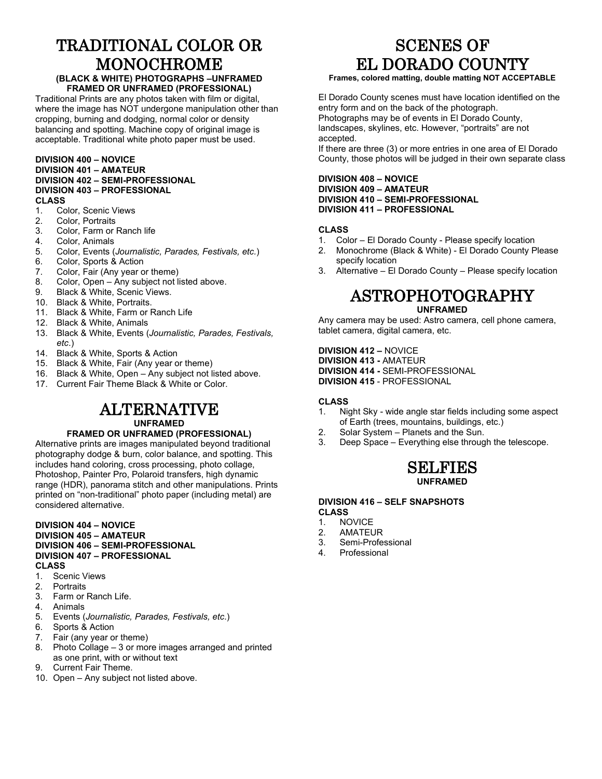# TRADITIONAL COLOR OR MONOCHROME

#### **(BLACK & WHITE) PHOTOGRAPHS –UNFRAMED FRAMED OR UNFRAMED (PROFESSIONAL)**

Traditional Prints are any photos taken with film or digital, where the image has NOT undergone manipulation other than cropping, burning and dodging, normal color or density balancing and spotting. Machine copy of original image is acceptable. Traditional white photo paper must be used.

#### **DIVISION 400 – NOVICE DIVISION 401 – AMATEUR DIVISION 402 – SEMI-PROFESSIONAL DIVISION 403 – PROFESSIONAL**

- **CLASS** Color, Scenic Views
- 2. Color, Portraits
- 3. Color, Farm or Ranch life
- 4. Color, Animals<br>5. Color. Events (
- 5. Color, Events (*Journalistic, Parades, Festivals, etc.*)
- 6. Color, Sports & Action
- 7. Color, Fair (Any year or theme)<br>8. Color. Open Any subiect not li
- 8. Color, Open Any subject not listed above.<br>9. Black & White, Scenic Views
- Black & White, Scenic Views.
- 10. Black & White, Portraits.
- 11. Black & White, Farm or Ranch Life
- 12. Black & White, Animals
- 13. Black & White, Events (*Journalistic, Parades, Festivals, etc*.)
- 14. Black & White, Sports & Action
- 15. Black & White, Fair (Any year or theme)
- 16. Black & White, Open Any subject not listed above.
- 17. Current Fair Theme Black & White or Color.

#### ALTERNATIVE **UNFRAMED**

#### **FRAMED OR UNFRAMED (PROFESSIONAL)**

Alternative prints are images manipulated beyond traditional photography dodge & burn, color balance, and spotting. This includes hand coloring, cross processing, photo collage, Photoshop, Painter Pro, Polaroid transfers, high dynamic range (HDR), panorama stitch and other manipulations. Prints printed on "non-traditional" photo paper (including metal) are considered alternative.

#### **DIVISION 404 – NOVICE DIVISION 405 – AMATEUR DIVISION 406 – SEMI-PROFESSIONAL DIVISION 407 – PROFESSIONAL CLASS**

- 1. Scenic Views<br>2. Portraits
- **Portraits**
- 3. Farm or Ranch Life.
- 4. Animals
- 5. Events (*Journalistic, Parades, Festivals, etc*.)
- 6. Sports & Action<br>7. Fair (any year o
- Fair (any year or theme)
- 8. Photo Collage 3 or more images arranged and printed as one print, with or without text
- 9. Current Fair Theme.
- 10. Open Any subject not listed above.

# SCENES OF EL DORADO COUNTY

#### **Frames, colored matting, double matting NOT ACCEPTABLE**

El Dorado County scenes must have location identified on the entry form and on the back of the photograph. Photographs may be of events in El Dorado County, landscapes, skylines, etc. However, "portraits" are not accepted.

If there are three (3) or more entries in one area of El Dorado County, those photos will be judged in their own separate class

#### **DIVISION 408 – NOVICE DIVISION 409 – AMATEUR DIVISION 410 – SEMI-PROFESSIONAL DIVISION 411 – PROFESSIONAL**

#### **CLASS**

- 1. Color El Dorado County Please specify location
- 2. Monochrome (Black & White) El Dorado County Please specify location
- 3. Alternative El Dorado County Please specify location

### ASTROPHOTOGRAPHY

#### **UNFRAMED**

Any camera may be used: Astro camera, cell phone camera, tablet camera, digital camera, etc.

**DIVISION 412 –** NOVICE **DIVISION 413 -** AMATEUR **DIVISION 414 -** SEMI-PROFESSIONAL **DIVISION 415** - PROFESSIONAL

#### **CLASS**

- 1. Night Sky wide angle star fields including some aspect of Earth (trees, mountains, buildings, etc.)
- 2. Solar System Planets and the Sun.
- 3. Deep Space Everything else through the telescope.



#### **DIVISION 416 – SELF SNAPSHOTS CLASS**

- 1. NOVICE<br>2. AMATEL
- **AMATEUR**
- 3. Semi-Professional
- 4. Professional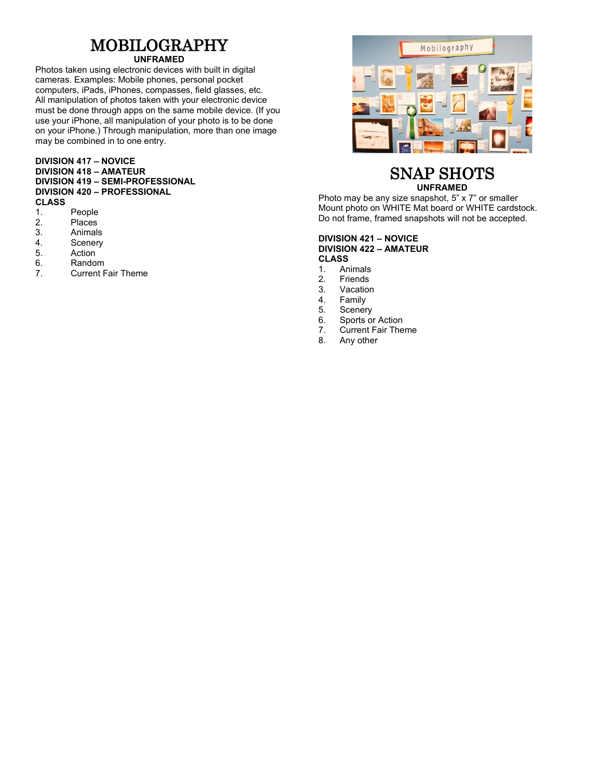# MOBILOGRAPHY

#### **UNFRAMED**

Photos taken using electronic devices with built in digital cameras. Examples: Mobile phones, personal pocket computers, iPads, iPhones, compasses, field glasses, etc. All manipulation of photos taken with your electronic device must be done through apps on the same mobile device. (If you use your iPhone, all manipulation of your photo is to be done on your iPhone.) Through manipulation, more than one image may be combined in to one entry.

#### **DIVISION 417 – NOVICE DIVISION 418 – AMATEUR DIVISION 419 – SEMI-PROFESSIONAL DIVISION 420 – PROFESSIONAL**

- **CLASS**
- 1. People<br>2. Places
- 2. Places<br>3. Animals 3. Animals<br>4. Scenerv
- 4. Scenery<br>5. Action
- **Action**
- 
- 6. Random<br>7. Current F **Current Fair Theme**



#### SNAP SHOTS **UNFRAMED**

Photo may be any size snapshot, 5" x 7" or smaller Mount photo on WHITE Mat board or WHITE cardstock. Do not frame, framed snapshots will not be accepted.

#### **DIVISION 421 – NOVICE DIVISION 422 – AMATEUR CLASS**

- 1. Animals<br>2. Friends
- 2. Friends<br>3. Vacation
- 3. Vacation<br>4. Family
- 4. Family<br>5. Scener
- 5. Scenery<br>6. Sports o
- 6. Sports or Action<br>7. Current Fair The
- 7. Current Fair Theme<br>8. Any other
- Any other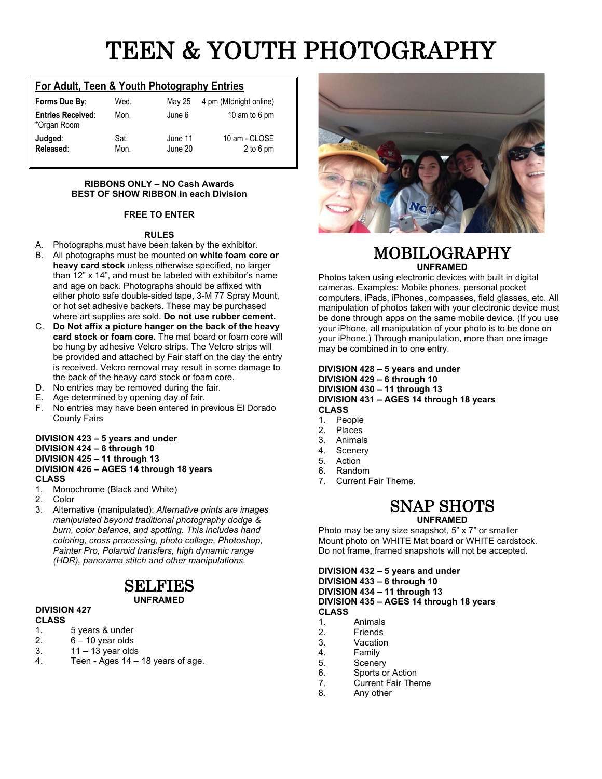# TEEN & YOUTH PHOTOGRAPHY

#### **For Adult, Teen & Youth Photography Entries**

| Forms Due By:                           | Wed.         | May 25             | 4 pm (Midnight online)       |
|-----------------------------------------|--------------|--------------------|------------------------------|
| <b>Entries Received:</b><br>*Organ Room | Mon.         | June 6             | 10 am to 6 pm                |
| Judged:<br>Released:                    | Sat.<br>Mon. | June 11<br>June 20 | 10 am - CLOSE<br>$2$ to 6 pm |

#### **RIBBONS ONLY – NO Cash Awards BEST OF SHOW RIBBON in each Division**

#### **FREE TO ENTER**

#### **RULES**

- A. Photographs must have been taken by the exhibitor.
- B. All photographs must be mounted on **white foam core or heavy card stock** unless otherwise specified, no larger than 12" x 14", and must be labeled with exhibitor's name and age on back. Photographs should be affixed with either photo safe double-sided tape, 3-M 77 Spray Mount, or hot set adhesive backers. These may be purchased where art supplies are sold. **Do not use rubber cement.**
- C. **Do Not affix a picture hanger on the back of the heavy card stock or foam core.** The mat board or foam core will be hung by adhesive Velcro strips. The Velcro strips will be provided and attached by Fair staff on the day the entry is received. Velcro removal may result in some damage to the back of the heavy card stock or foam core.
- D. No entries may be removed during the fair.
- E. Age determined by opening day of fair.
- F. No entries may have been entered in previous El Dorado County Fairs

#### **DIVISION 423 – 5 years and under DIVISION 424 – 6 through 10 DIVISION 425 – 11 through 13 DIVISION 426 – AGES 14 through 18 years CLASS**

1. Monochrome (Black and White)

2. Color

3. Alternative (manipulated): *Alternative prints are images manipulated beyond traditional photography dodge & burn, color balance, and spotting. This includes hand coloring, cross processing, photo collage, Photoshop, Painter Pro, Polaroid transfers, high dynamic range (HDR), panorama stitch and other manipulations.*

### SELFIES

#### **UNFRAMED**

#### **DIVISION 427**

- **CLASS**
- 1. 5 years & under
- 2.  $6 10$  year olds<br>3.  $11 13$  year olds
- 3.  $11 13$  year olds<br>4. Teen Ages  $14 -$ Teen -  $\overline{A}$ ges 14 – 18 years of age.



#### MOBILOGRAPHY **UNFRAMED**

Photos taken using electronic devices with built in digital cameras. Examples: Mobile phones, personal pocket computers, iPads, iPhones, compasses, field glasses, etc. All manipulation of photos taken with your electronic device must be done through apps on the same mobile device. (If you use your iPhone, all manipulation of your photo is to be done on your iPhone.) Through manipulation, more than one image may be combined in to one entry.

#### **DIVISION 428 – 5 years and under DIVISION 429 – 6 through 10 DIVISION 430 – 11 through 13 DIVISION 431 – AGES 14 through 18 years**

**CLASS**

- 1. People
- 2. Places<br>3 Animals
- 3. Animals
- 4. Scenery<br>5. Action
- 5. Action
- 6. Random<br>7 Current I
- Current Fair Theme.

# SNAP SHOTS

**UNFRAMED** Photo may be any size snapshot, 5" x 7" or smaller

Mount photo on WHITE Mat board or WHITE cardstock. Do not frame, framed snapshots will not be accepted.

#### **DIVISION 432 – 5 years and under DIVISION 433 – 6 through 10 DIVISION 434 – 11 through 13 DIVISION 435 – AGES 14 through 18 years CLASS**

- 1. Animals<br>2. Friends
- 2. Friends<br>3. Vacation
- **Vacation**
- 4. Family
- 5. Scenery
- 6. Sports or Action<br>7. Current Fair The
- 7. Current Fair Theme<br>8. Any other
- Any other